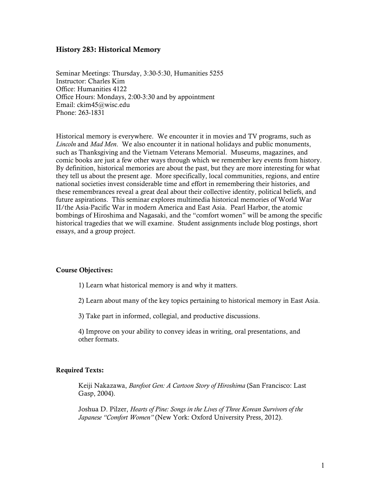## History 283: Historical Memory

Seminar Meetings: Thursday, 3:30-5:30, Humanities 5255 Instructor: Charles Kim Office: Humanities 4122 Office Hours: Mondays, 2:00-3:30 and by appointment Email: ckim45@wisc.edu Phone: 263-1831

Historical memory is everywhere. We encounter it in movies and TV programs, such as *Lincoln* and *Mad Men*. We also encounter it in national holidays and public monuments, such as Thanksgiving and the Vietnam Veterans Memorial. Museums, magazines, and comic books are just a few other ways through which we remember key events from history. By definition, historical memories are about the past, but they are more interesting for what they tell us about the present age. More specifically, local communities, regions, and entire national societies invest considerable time and effort in remembering their histories, and these remembrances reveal a great deal about their collective identity, political beliefs, and future aspirations. This seminar explores multimedia historical memories of World War II/the Asia-Pacific War in modern America and East Asia. Pearl Harbor, the atomic bombings of Hiroshima and Nagasaki, and the "comfort women" will be among the specific historical tragedies that we will examine. Student assignments include blog postings, short essays, and a group project.

## Course Objectives:

1) Learn what historical memory is and why it matters.

2) Learn about many of the key topics pertaining to historical memory in East Asia.

3) Take part in informed, collegial, and productive discussions.

4) Improve on your ability to convey ideas in writing, oral presentations, and other formats.

## Required Texts:

Keiji Nakazawa, *Barefoot Gen: A Cartoon Story of Hiroshima* (San Francisco: Last Gasp, 2004).

Joshua D. Pilzer, *Hearts of Pine: Songs in the Lives of Three Korean Survivors of the Japanese "Comfort Women"* (New York: Oxford University Press, 2012).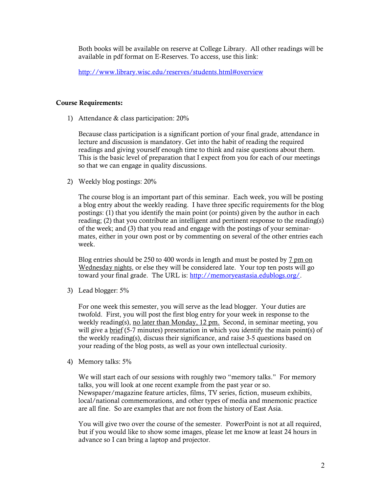Both books will be available on reserve at College Library. All other readings will be available in pdf format on E-Reserves. To access, use this link:

http://www.library.wisc.edu/reserves/students.html#overview

### Course Requirements:

1) Attendance & class participation: 20%

Because class participation is a significant portion of your final grade, attendance in lecture and discussion is mandatory. Get into the habit of reading the required readings and giving yourself enough time to think and raise questions about them. This is the basic level of preparation that I expect from you for each of our meetings so that we can engage in quality discussions.

2) Weekly blog postings: 20%

The course blog is an important part of this seminar. Each week, you will be posting a blog entry about the weekly reading. I have three specific requirements for the blog postings: (1) that you identify the main point (or points) given by the author in each reading; (2) that you contribute an intelligent and pertinent response to the reading(s) of the week; and (3) that you read and engage with the postings of your seminarmates, either in your own post or by commenting on several of the other entries each week.

Blog entries should be 250 to 400 words in length and must be posted by 7 pm on Wednesday nights, or else they will be considered late. Your top ten posts will go toward your final grade. The URL is: http://memoryeastasia.edublogs.org/.

3) Lead blogger: 5%

For one week this semester, you will serve as the lead blogger. Your duties are twofold. First, you will post the first blog entry for your week in response to the weekly reading(s), no later than Monday, 12 pm. Second, in seminar meeting, you will give a brief (5-7 minutes) presentation in which you identify the main point(s) of the weekly reading(s), discuss their significance, and raise 3-5 questions based on your reading of the blog posts, as well as your own intellectual curiosity.

4) Memory talks: 5%

We will start each of our sessions with roughly two "memory talks." For memory talks, you will look at one recent example from the past year or so. Newspaper/magazine feature articles, films, TV series, fiction, museum exhibits, local/national commemorations, and other types of media and mnemonic practice are all fine. So are examples that are not from the history of East Asia.

You will give two over the course of the semester. PowerPoint is not at all required, but if you would like to show some images, please let me know at least 24 hours in advance so I can bring a laptop and projector.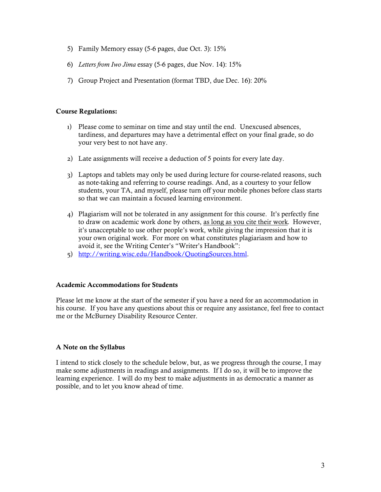- 5) Family Memory essay (5-6 pages, due Oct. 3): 15%
- 6) *Letters from Iwo Jima* essay (5-6 pages, due Nov. 14): 15%
- 7) Group Project and Presentation (format TBD, due Dec. 16): 20%

## Course Regulations:

- 1) Please come to seminar on time and stay until the end. Unexcused absences, tardiness, and departures may have a detrimental effect on your final grade, so do your very best to not have any.
- 2) Late assignments will receive a deduction of 5 points for every late day.
- 3) Laptops and tablets may only be used during lecture for course-related reasons, such as note-taking and referring to course readings. And, as a courtesy to your fellow students, your TA, and myself, please turn off your mobile phones before class starts so that we can maintain a focused learning environment.
- 4) Plagiarism will not be tolerated in any assignment for this course. It's perfectly fine to draw on academic work done by others, as long as you cite their work*.* However, it's unacceptable to use other people's work, while giving the impression that it is your own original work. For more on what constitutes plagiariasm and how to avoid it, see the Writing Center's "Writer's Handbook":
- 5) http://writing.wisc.edu/Handbook/QuotingSources.html.

## Academic Accommodations for Students

Please let me know at the start of the semester if you have a need for an accommodation in his course. If you have any questions about this or require any assistance, feel free to contact me or the McBurney Disability Resource Center.

# A Note on the Syllabus

I intend to stick closely to the schedule below, but, as we progress through the course, I may make some adjustments in readings and assignments. If I do so, it will be to improve the learning experience. I will do my best to make adjustments in as democratic a manner as possible, and to let you know ahead of time.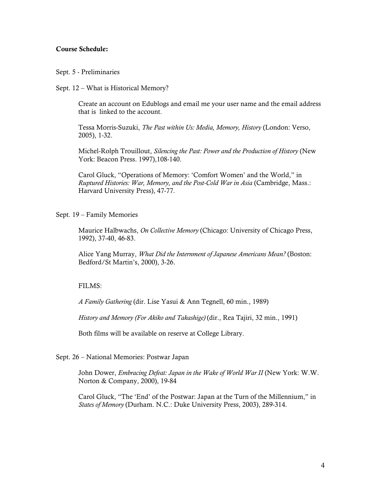## Course Schedule:

### Sept. 5 - Preliminaries

Sept. 12 – What is Historical Memory?

Create an account on Edublogs and email me your user name and the email address that is linked to the account.

Tessa Morris-Suzuki, *The Past within Us: Media, Memory, History* (London: Verso, 2005), 1-32.

Michel-Rolph Trouillout, *Silencing the Past: Power and the Production of History* (New York: Beacon Press. 1997),108-140.

Carol Gluck, "Operations of Memory: 'Comfort Women' and the World," in *Ruptured Histories: War, Memory, and the Post-Cold War in Asia* (Cambridge, Mass.: Harvard University Press), 47-77.

Sept. 19 – Family Memories

Maurice Halbwachs, *On Collective Memory* (Chicago: University of Chicago Press, 1992), 37-40, 46-83.

Alice Yang Murray, *What Did the Internment of Japanese Americans Mean?* (Boston: Bedford/St Martin's, 2000), 3-26.

#### $FII$  MS $\cdot$

*A Family Gathering* (dir. Lise Yasui & Ann Tegnell, 60 min., 1989)

*History and Memory (For Akiko and Takashige)* (dir., Rea Tajiri, 32 min., 1991)

Both films will be available on reserve at College Library.

### Sept. 26 – National Memories: Postwar Japan

John Dower, *Embracing Defeat: Japan in the Wake of World War II* (New York: W.W. Norton & Company, 2000), 19-84

Carol Gluck, "The 'End' of the Postwar: Japan at the Turn of the Millennium," in *States of Memory* (Durham. N.C.: Duke University Press, 2003), 289-314.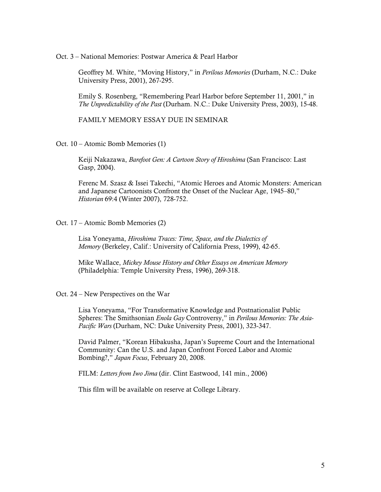Oct. 3 – National Memories: Postwar America & Pearl Harbor

Geoffrey M. White, "Moving History," in *Perilous Memories* (Durham, N.C.: Duke University Press, 2001), 267-295.

Emily S. Rosenberg, "Remembering Pearl Harbor before September 11, 2001," in *The Unpredictability of the Past* (Durham. N.C.: Duke University Press, 2003), 15-48.

FAMILY MEMORY ESSAY DUE IN SEMINAR

Oct. 10 – Atomic Bomb Memories (1)

Keiji Nakazawa, *Barefoot Gen: A Cartoon Story of Hiroshima* (San Francisco: Last Gasp, 2004).

Ferenc M. Szasz & Issei Takechi, "Atomic Heroes and Atomic Monsters: American and Japanese Cartoonists Confront the Onset of the Nuclear Age, 1945–80," *Historian* 69:4 (Winter 2007), 728-752.

Oct. 17 – Atomic Bomb Memories (2)

 Lisa Yoneyama, *Hiroshima Traces: Time, Space, and the Dialectics of Memory* (Berkeley, Calif.: University of California Press, 1999), 42-65.

Mike Wallace, *Mickey Mouse History and Other Essays on American Memory*  (Philadelphia: Temple University Press, 1996), 269-318.

Oct. 24 – New Perspectives on the War

Lisa Yoneyama, "For Transformative Knowledge and Postnationalist Public Spheres: The Smithsonian *Enola Gay* Controversy," in *Perilous Memories: The Asia-Pacific Wars* (Durham, NC: Duke University Press, 2001), 323-347.

David Palmer, "Korean Hibakusha, Japan's Supreme Court and the International Community: Can the U.S. and Japan Confront Forced Labor and Atomic Bombing?," *Japan Focus*, February 20, 2008.

FILM: *Letters from Iwo Jima* (dir. Clint Eastwood, 141 min., 2006)

This film will be available on reserve at College Library.